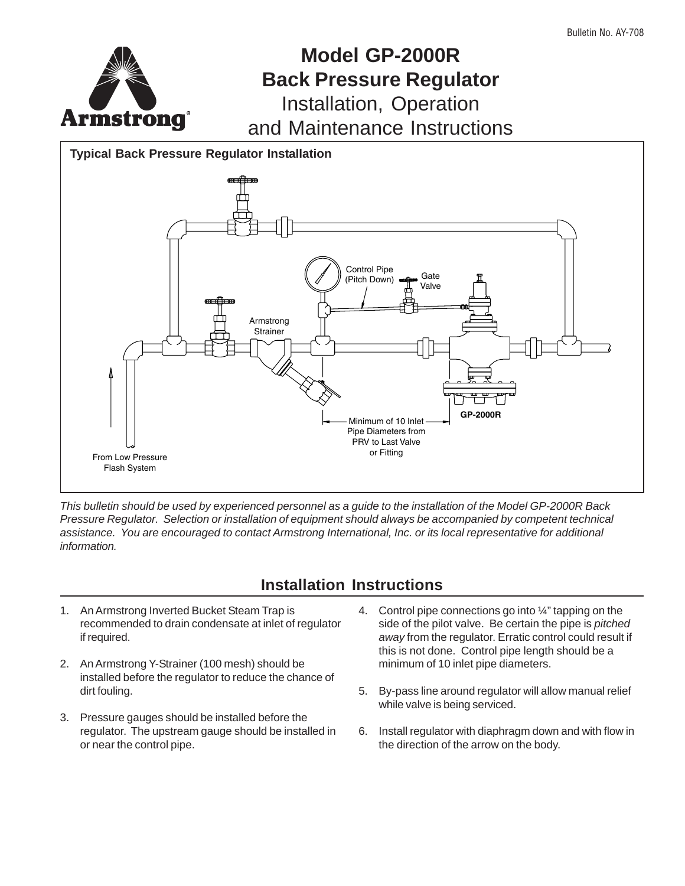

# **Model GP-2000R Back Pressure Regulator** Installation, Operation

and Maintenance Instructions

**Typical Back Pressure Regulator Installation**



This bulletin should be used by experienced personnel as a guide to the installation of the Model GP-2000R Back Pressure Regulator. Selection or installation of equipment should always be accompanied by competent technical assistance. You are encouraged to contact Armstrong International, Inc. or its local representative for additional information.

# **Installation Instructions**

- 1. An Armstrong Inverted Bucket Steam Trap is recommended to drain condensate at inlet of regulator if required.
- 2. An Armstrong Y-Strainer (100 mesh) should be installed before the regulator to reduce the chance of dirt fouling.
- 3. Pressure gauges should be installed before the regulator. The upstream gauge should be installed in or near the control pipe.
- 4. Control pipe connections go into ¼" tapping on the side of the pilot valve. Be certain the pipe is pitched away from the regulator. Erratic control could result if this is not done. Control pipe length should be a minimum of 10 inlet pipe diameters.
- 5. By-pass line around regulator will allow manual relief while valve is being serviced.
- 6. Install regulator with diaphragm down and with flow in the direction of the arrow on the body.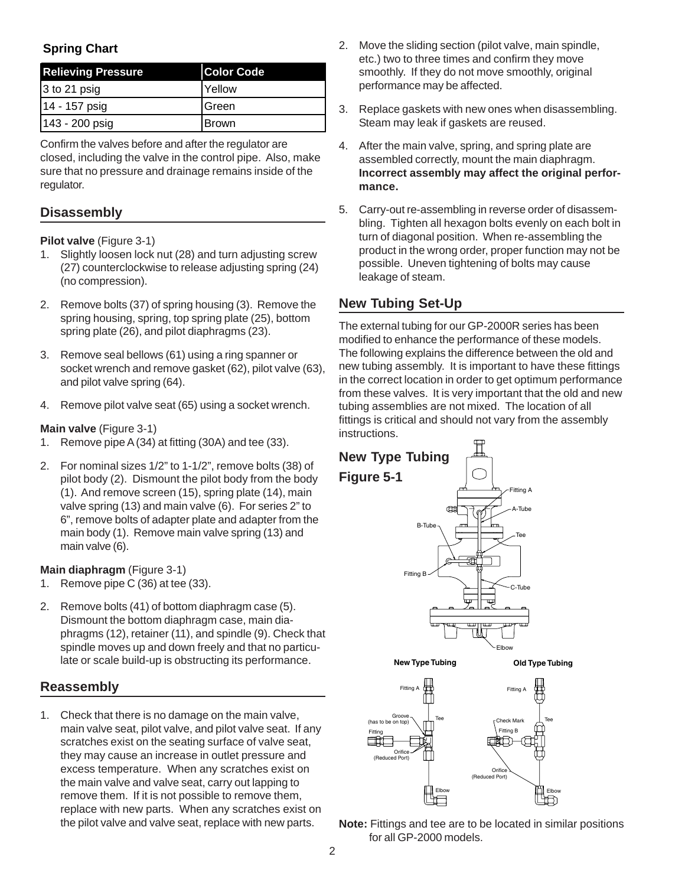## **Spring Chart**

| <b>Relieving Pressure</b> | <b>Color Code</b> |
|---------------------------|-------------------|
| 3 to 21 psig              | <b>Yellow</b>     |
| 14 - 157 psig             | <b>Green</b>      |
| 143 - 200 psig            | <b>Brown</b>      |

Confirm the valves before and after the regulator are closed, including the valve in the control pipe. Also, make sure that no pressure and drainage remains inside of the regulator.

### **Disassembly**

### **Pilot valve** (Figure 3-1)

- 1. Slightly loosen lock nut (28) and turn adjusting screw (27) counterclockwise to release adjusting spring (24) (no compression).
- 2. Remove bolts (37) of spring housing (3). Remove the spring housing, spring, top spring plate (25), bottom spring plate (26), and pilot diaphragms (23).
- 3. Remove seal bellows (61) using a ring spanner or socket wrench and remove gasket (62), pilot valve (63), and pilot valve spring (64).
- 4. Remove pilot valve seat (65) using a socket wrench.

### **Main valve** (Figure 3-1)

- 1. Remove pipe A (34) at fitting (30A) and tee (33).
- 2. For nominal sizes 1/2" to 1-1/2", remove bolts (38) of pilot body (2). Dismount the pilot body from the body (1). And remove screen (15), spring plate (14), main valve spring (13) and main valve (6). For series 2" to 6", remove bolts of adapter plate and adapter from the main body (1). Remove main valve spring (13) and main valve (6).

### **Main diaphragm** (Figure 3-1)

- 1. Remove pipe C (36) at tee (33).
- 2. Remove bolts (41) of bottom diaphragm case (5). Dismount the bottom diaphragm case, main diaphragms (12), retainer (11), and spindle (9). Check that spindle moves up and down freely and that no particulate or scale build-up is obstructing its performance.

### **Reassembly**

1. Check that there is no damage on the main valve, main valve seat, pilot valve, and pilot valve seat. If any scratches exist on the seating surface of valve seat, they may cause an increase in outlet pressure and excess temperature. When any scratches exist on the main valve and valve seat, carry out lapping to remove them. If it is not possible to remove them, replace with new parts. When any scratches exist on the pilot valve and valve seat, replace with new parts.

- 2. Move the sliding section (pilot valve, main spindle, etc.) two to three times and confirm they move smoothly. If they do not move smoothly, original performance may be affected.
- 3. Replace gaskets with new ones when disassembling. Steam may leak if gaskets are reused.
- 4. After the main valve, spring, and spring plate are assembled correctly, mount the main diaphragm. **Incorrect assembly may affect the original performance.**
- 5. Carry-out re-assembling in reverse order of disassembling. Tighten all hexagon bolts evenly on each bolt in turn of diagonal position. When re-assembling the product in the wrong order, proper function may not be possible. Uneven tightening of bolts may cause leakage of steam.

### **New Tubing Set-Up**

The external tubing for our GP-2000R series has been modified to enhance the performance of these models. The following explains the difference between the old and new tubing assembly. It is important to have these fittings in the correct location in order to get optimum performance from these valves. It is very important that the old and new tubing assemblies are not mixed. The location of all fittings is critical and should not vary from the assembly instructions.



**Note:** Fittings and tee are to be located in similar positions for all GP-2000 models.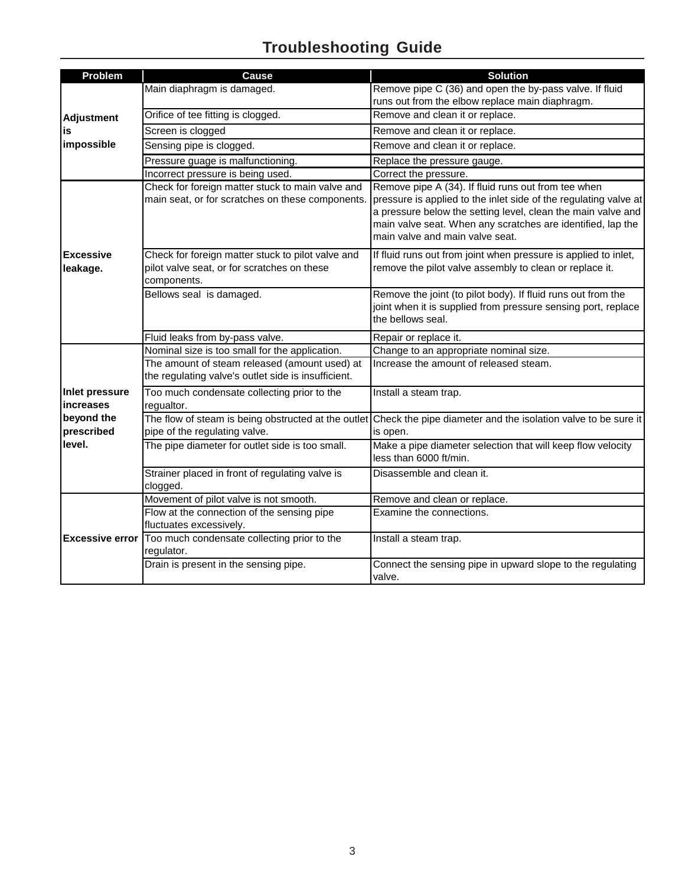# **Troubleshooting Guide**

| Problem                                   | <b>Cause</b>                                                                                                    | <b>Solution</b>                                                                                                                                                                                                                                                                           |
|-------------------------------------------|-----------------------------------------------------------------------------------------------------------------|-------------------------------------------------------------------------------------------------------------------------------------------------------------------------------------------------------------------------------------------------------------------------------------------|
|                                           | Main diaphragm is damaged.                                                                                      | Remove pipe C (36) and open the by-pass valve. If fluid<br>runs out from the elbow replace main diaphragm.                                                                                                                                                                                |
| <b>Adjustment</b>                         | Orifice of tee fitting is clogged.                                                                              | Remove and clean it or replace.                                                                                                                                                                                                                                                           |
| is                                        | Screen is clogged                                                                                               | Remove and clean it or replace.                                                                                                                                                                                                                                                           |
| impossible                                | Sensing pipe is clogged.                                                                                        | Remove and clean it or replace.                                                                                                                                                                                                                                                           |
|                                           | Pressure guage is malfunctioning.                                                                               | Replace the pressure gauge.                                                                                                                                                                                                                                                               |
|                                           | Incorrect pressure is being used.                                                                               | Correct the pressure.                                                                                                                                                                                                                                                                     |
|                                           | Check for foreign matter stuck to main valve and<br>main seat, or for scratches on these components.            | Remove pipe A (34). If fluid runs out from tee when<br>pressure is applied to the inlet side of the regulating valve at<br>a pressure below the setting level, clean the main valve and<br>main valve seat. When any scratches are identified, lap the<br>main valve and main valve seat. |
| <b>Excessive</b><br>leakage.              | Check for foreign matter stuck to pilot valve and<br>pilot valve seat, or for scratches on these<br>components. | If fluid runs out from joint when pressure is applied to inlet,<br>remove the pilot valve assembly to clean or replace it.                                                                                                                                                                |
|                                           | Bellows seal is damaged.                                                                                        | Remove the joint (to pilot body). If fluid runs out from the<br>joint when it is supplied from pressure sensing port, replace<br>the bellows seal.                                                                                                                                        |
|                                           | Fluid leaks from by-pass valve.                                                                                 | Repair or replace it.                                                                                                                                                                                                                                                                     |
|                                           | Nominal size is too small for the application.                                                                  | Change to an appropriate nominal size.                                                                                                                                                                                                                                                    |
|                                           | The amount of steam released (amount used) at<br>the regulating valve's outlet side is insufficient.            | Increase the amount of released steam.                                                                                                                                                                                                                                                    |
| <b>Inlet pressure</b><br><b>Increases</b> | Too much condensate collecting prior to the<br>requaltor.                                                       | Install a steam trap.                                                                                                                                                                                                                                                                     |
| beyond the<br>prescribed                  | pipe of the regulating valve.                                                                                   | The flow of steam is being obstructed at the outlet Check the pipe diameter and the isolation valve to be sure it<br>is open.                                                                                                                                                             |
| level.                                    | The pipe diameter for outlet side is too small.                                                                 | Make a pipe diameter selection that will keep flow velocity<br>less than 6000 ft/min.                                                                                                                                                                                                     |
|                                           | Strainer placed in front of regulating valve is<br>clogged.                                                     | Disassemble and clean it.                                                                                                                                                                                                                                                                 |
|                                           | Movement of pilot valve is not smooth.                                                                          | Remove and clean or replace.                                                                                                                                                                                                                                                              |
|                                           | Flow at the connection of the sensing pipe<br>fluctuates excessively.                                           | Examine the connections.                                                                                                                                                                                                                                                                  |
| <b>Excessive error</b>                    | Too much condensate collecting prior to the<br>regulator.                                                       | Install a steam trap.                                                                                                                                                                                                                                                                     |
|                                           | Drain is present in the sensing pipe.                                                                           | Connect the sensing pipe in upward slope to the regulating<br>valve.                                                                                                                                                                                                                      |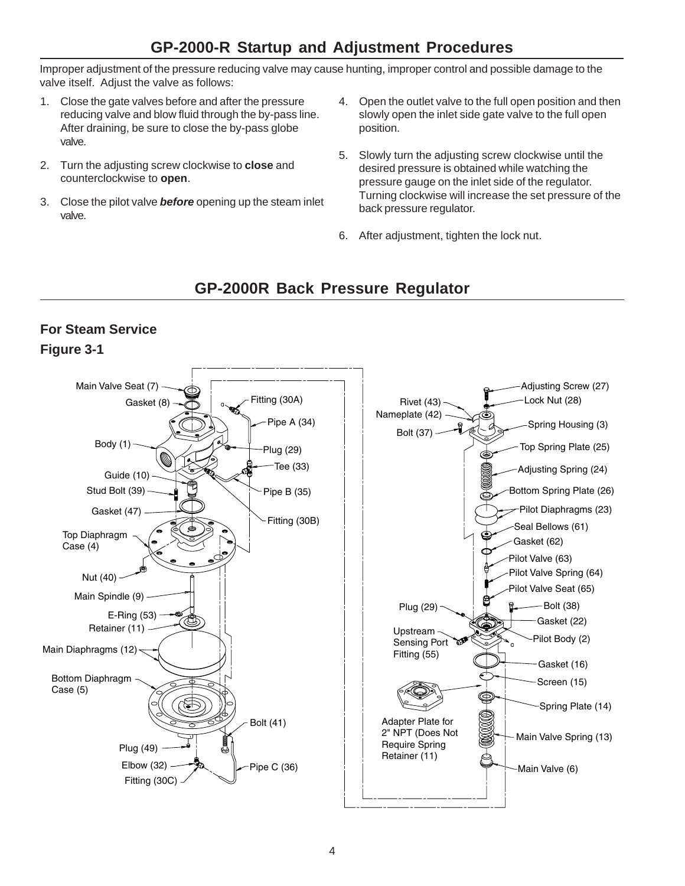# **GP-2000-R Startup and Adjustment Procedures**

Improper adjustment of the pressure reducing valve may cause hunting, improper control and possible damage to the valve itself. Adjust the valve as follows:

- 1. Close the gate valves before and after the pressure reducing valve and blow fluid through the by-pass line. After draining, be sure to close the by-pass globe valve.
- 2. Turn the adjusting screw clockwise to **close** and counterclockwise to **open**.
- 3. Close the pilot valve **before** opening up the steam inlet valve.
- 4. Open the outlet valve to the full open position and then slowly open the inlet side gate valve to the full open position.
- 5. Slowly turn the adjusting screw clockwise until the desired pressure is obtained while watching the pressure gauge on the inlet side of the regulator. Turning clockwise will increase the set pressure of the back pressure regulator.
- 6. After adjustment, tighten the lock nut.

# **GP-2000R Back Pressure Regulator**

## **For Steam Service Figure 3-1**

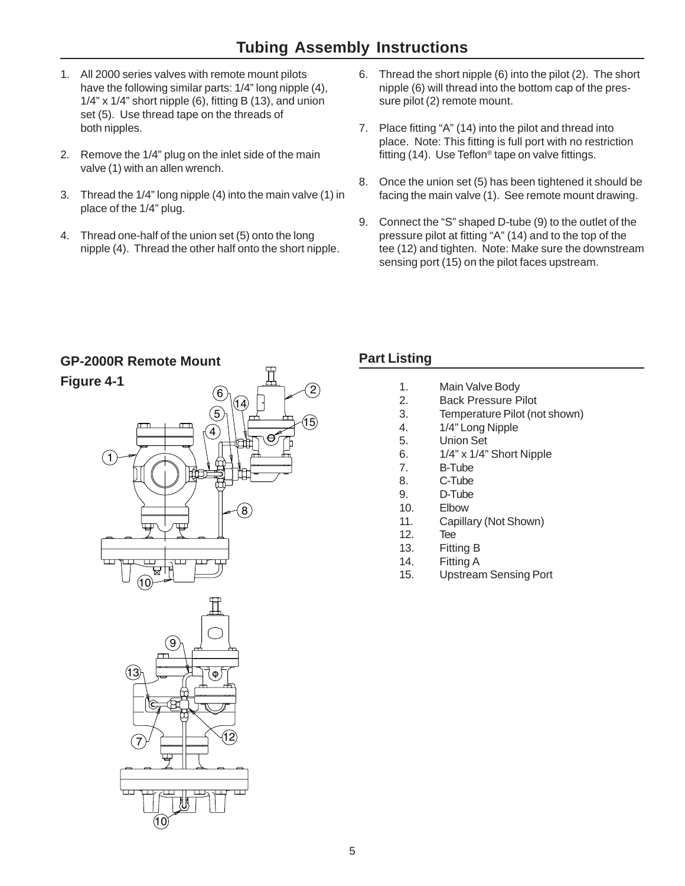- 1. All 2000 series valves with remote mount pilots have the following similar parts: 1/4" long nipple (4),  $1/4$ " x  $1/4$ " short nipple (6), fitting B (13), and union set (5). Use thread tape on the threads of both nipples.
- 2. Remove the 1/4" plug on the inlet side of the main valve (1) with an allen wrench.
- 3. Thread the 1/4" long nipple (4) into the main valve (1) in place of the 1/4" plug.
- 4. Thread one-half of the union set (5) onto the long nipple (4). Thread the other half onto the short nipple.
- 6. Thread the short nipple (6) into the pilot (2). The short nipple (6) will thread into the bottom cap of the pressure pilot (2) remote mount.
- 7. Place fitting "A" (14) into the pilot and thread into place. Note: This fitting is full port with no restriction fitting (14). Use Teflon® tape on valve fittings.
- 8. Once the union set (5) has been tightened it should be facing the main valve (1). See remote mount drawing.
- 9. Connect the "S" shaped D-tube (9) to the outlet of the pressure pilot at fitting "A" (14) and to the top of the tee (12) and tighten. Note: Make sure the downstream sensing port (15) on the pilot faces upstream.



## **Part Listing**

- 1. Main Valve Body
- 2. Back Pressure Pilot
- 3. Temperature Pilot (not shown)
- 4. 1/4" Long Nipple
- 5. Union Set
- 6. 1/4" x 1/4" Short Nipple
- 7. B-Tube
- 8. C-Tube
- 9. D-Tube
- 10. Elbow
- 11. Capillary (Not Shown)
- 12. Tee
- 13. Fitting B
- 14. Fitting A
- 15. Upstream Sensing Port